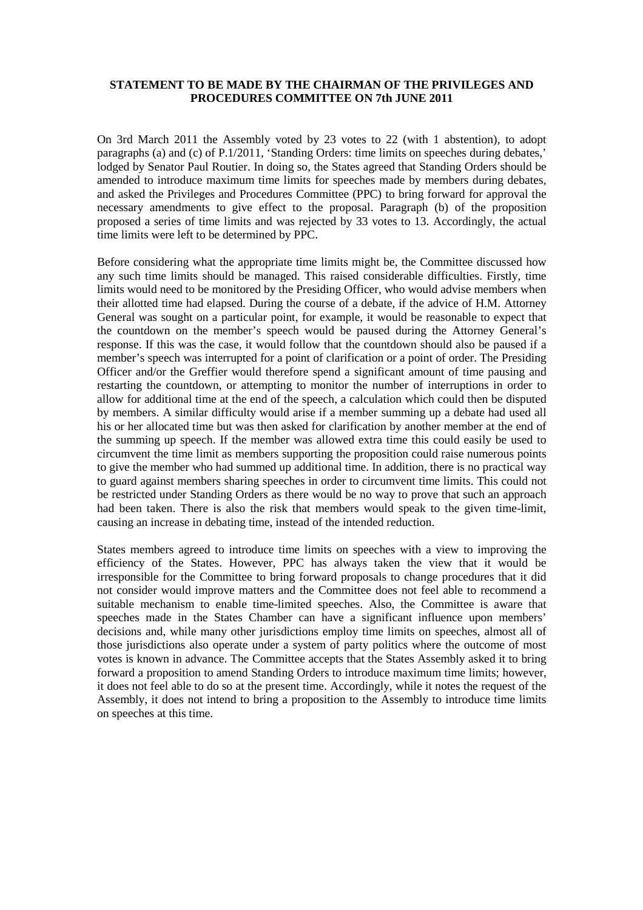## **STATEMENT TO BE MADE BY THE CHAIRMAN OF THE PRIVILEGES AND PROCEDURES COMMITTEE ON 7th JUNE 2011**

On 3rd March 2011 the Assembly voted by 23 votes to 22 (with 1 abstention), to adopt paragraphs (a) and (c) of P.1/2011, 'Standing Orders: time limits on speeches during debates,' lodged by Senator Paul Routier. In doing so, the States agreed that Standing Orders should be amended to introduce maximum time limits for speeches made by members during debates, and asked the Privileges and Procedures Committee (PPC) to bring forward for approval the necessary amendments to give effect to the proposal. Paragraph (b) of the proposition proposed a series of time limits and was rejected by 33 votes to 13. Accordingly, the actual time limits were left to be determined by PPC.

Before considering what the appropriate time limits might be, the Committee discussed how any such time limits should be managed. This raised considerable difficulties. Firstly, time limits would need to be monitored by the Presiding Officer, who would advise members when their allotted time had elapsed. During the course of a debate, if the advice of H.M. Attorney General was sought on a particular point, for example, it would be reasonable to expect that the countdown on the member's speech would be paused during the Attorney General's response. If this was the case, it would follow that the countdown should also be paused if a member's speech was interrupted for a point of clarification or a point of order. The Presiding Officer and/or the Greffier would therefore spend a significant amount of time pausing and restarting the countdown, or attempting to monitor the number of interruptions in order to allow for additional time at the end of the speech, a calculation which could then be disputed by members. A similar difficulty would arise if a member summing up a debate had used all his or her allocated time but was then asked for clarification by another member at the end of the summing up speech. If the member was allowed extra time this could easily be used to circumvent the time limit as members supporting the proposition could raise numerous points to give the member who had summed up additional time. In addition, there is no practical way to guard against members sharing speeches in order to circumvent time limits. This could not be restricted under Standing Orders as there would be no way to prove that such an approach had been taken. There is also the risk that members would speak to the given time-limit, causing an increase in debating time, instead of the intended reduction.

States members agreed to introduce time limits on speeches with a view to improving the efficiency of the States. However, PPC has always taken the view that it would be irresponsible for the Committee to bring forward proposals to change procedures that it did not consider would improve matters and the Committee does not feel able to recommend a suitable mechanism to enable time-limited speeches. Also, the Committee is aware that speeches made in the States Chamber can have a significant influence upon members' decisions and, while many other jurisdictions employ time limits on speeches, almost all of those jurisdictions also operate under a system of party politics where the outcome of most votes is known in advance. The Committee accepts that the States Assembly asked it to bring forward a proposition to amend Standing Orders to introduce maximum time limits; however, it does not feel able to do so at the present time. Accordingly, while it notes the request of the Assembly, it does not intend to bring a proposition to the Assembly to introduce time limits on speeches at this time.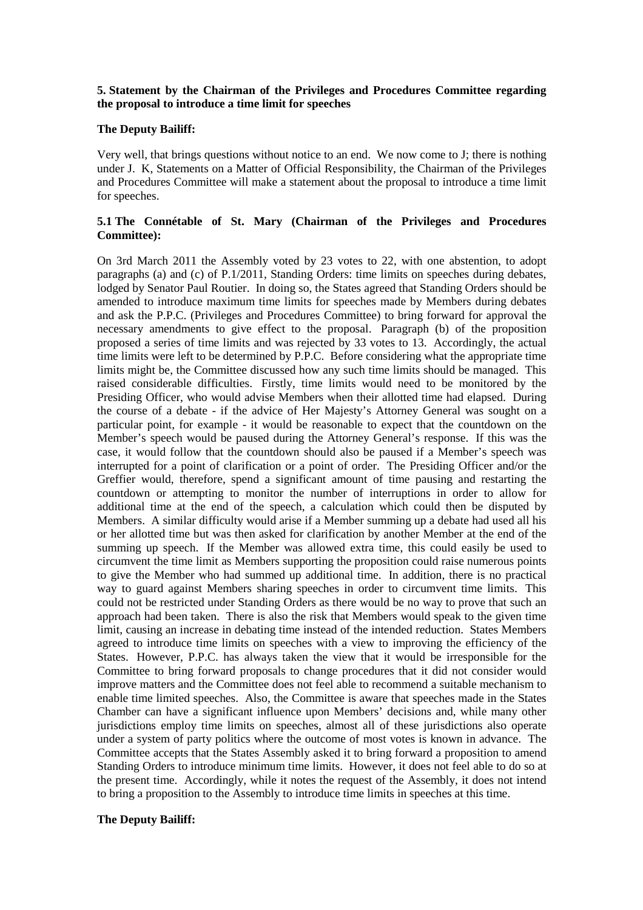# **5. Statement by the Chairman of the Privileges and Procedures Committee regarding the proposal to introduce a time limit for speeches**

## **The Deputy Bailiff:**

Very well, that brings questions without notice to an end. We now come to J; there is nothing under J. K, Statements on a Matter of Official Responsibility, the Chairman of the Privileges and Procedures Committee will make a statement about the proposal to introduce a time limit for speeches.

# **5.1 The Connétable of St. Mary (Chairman of the Privileges and Procedures Committee):**

On 3rd March 2011 the Assembly voted by 23 votes to 22, with one abstention, to adopt paragraphs (a) and (c) of P.1/2011, Standing Orders: time limits on speeches during debates, lodged by Senator Paul Routier. In doing so, the States agreed that Standing Orders should be amended to introduce maximum time limits for speeches made by Members during debates and ask the P.P.C. (Privileges and Procedures Committee) to bring forward for approval the necessary amendments to give effect to the proposal. Paragraph (b) of the proposition proposed a series of time limits and was rejected by 33 votes to 13. Accordingly, the actual time limits were left to be determined by P.P.C. Before considering what the appropriate time limits might be, the Committee discussed how any such time limits should be managed. This raised considerable difficulties. Firstly, time limits would need to be monitored by the Presiding Officer, who would advise Members when their allotted time had elapsed. During the course of a debate - if the advice of Her Majesty's Attorney General was sought on a particular point, for example - it would be reasonable to expect that the countdown on the Member's speech would be paused during the Attorney General's response. If this was the case, it would follow that the countdown should also be paused if a Member's speech was interrupted for a point of clarification or a point of order. The Presiding Officer and/or the Greffier would, therefore, spend a significant amount of time pausing and restarting the countdown or attempting to monitor the number of interruptions in order to allow for additional time at the end of the speech, a calculation which could then be disputed by Members. A similar difficulty would arise if a Member summing up a debate had used all his or her allotted time but was then asked for clarification by another Member at the end of the summing up speech. If the Member was allowed extra time, this could easily be used to circumvent the time limit as Members supporting the proposition could raise numerous points to give the Member who had summed up additional time. In addition, there is no practical way to guard against Members sharing speeches in order to circumvent time limits. This could not be restricted under Standing Orders as there would be no way to prove that such an approach had been taken. There is also the risk that Members would speak to the given time limit, causing an increase in debating time instead of the intended reduction. States Members agreed to introduce time limits on speeches with a view to improving the efficiency of the States. However, P.P.C. has always taken the view that it would be irresponsible for the Committee to bring forward proposals to change procedures that it did not consider would improve matters and the Committee does not feel able to recommend a suitable mechanism to enable time limited speeches. Also, the Committee is aware that speeches made in the States Chamber can have a significant influence upon Members' decisions and, while many other jurisdictions employ time limits on speeches, almost all of these jurisdictions also operate under a system of party politics where the outcome of most votes is known in advance. The Committee accepts that the States Assembly asked it to bring forward a proposition to amend Standing Orders to introduce minimum time limits. However, it does not feel able to do so at the present time. Accordingly, while it notes the request of the Assembly, it does not intend to bring a proposition to the Assembly to introduce time limits in speeches at this time.

### **The Deputy Bailiff:**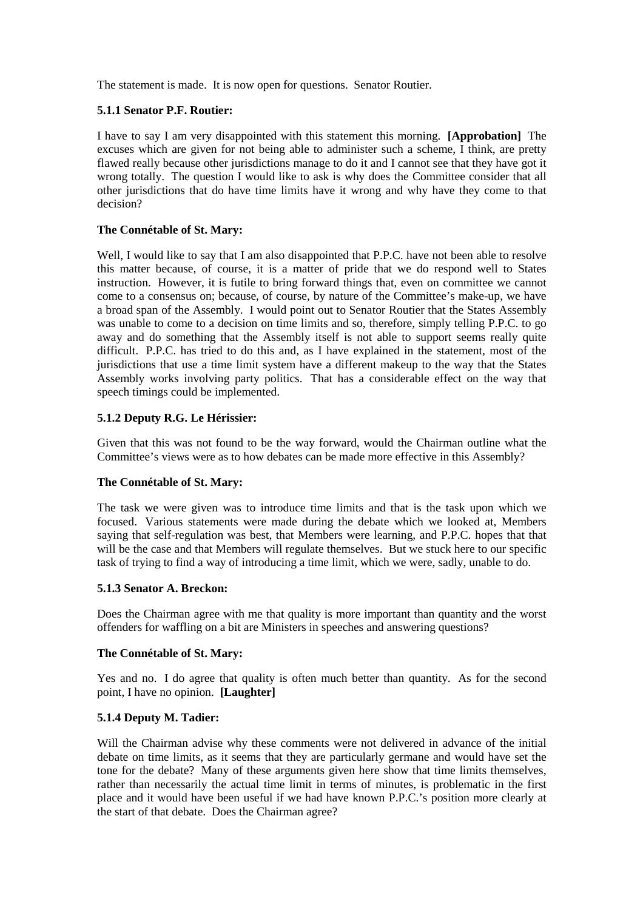The statement is made. It is now open for questions. Senator Routier.

# **5.1.1 Senator P.F. Routier:**

I have to say I am very disappointed with this statement this morning. **[Approbation]** The excuses which are given for not being able to administer such a scheme, I think, are pretty flawed really because other jurisdictions manage to do it and I cannot see that they have got it wrong totally. The question I would like to ask is why does the Committee consider that all other jurisdictions that do have time limits have it wrong and why have they come to that decision?

## **The Connétable of St. Mary:**

Well, I would like to say that I am also disappointed that P.P.C. have not been able to resolve this matter because, of course, it is a matter of pride that we do respond well to States instruction. However, it is futile to bring forward things that, even on committee we cannot come to a consensus on; because, of course, by nature of the Committee's make-up, we have a broad span of the Assembly. I would point out to Senator Routier that the States Assembly was unable to come to a decision on time limits and so, therefore, simply telling P.P.C. to go away and do something that the Assembly itself is not able to support seems really quite difficult. P.P.C. has tried to do this and, as I have explained in the statement, most of the jurisdictions that use a time limit system have a different makeup to the way that the States Assembly works involving party politics. That has a considerable effect on the way that speech timings could be implemented.

# **5.1.2 Deputy R.G. Le Hérissier:**

Given that this was not found to be the way forward, would the Chairman outline what the Committee's views were as to how debates can be made more effective in this Assembly?

### **The Connétable of St. Mary:**

The task we were given was to introduce time limits and that is the task upon which we focused. Various statements were made during the debate which we looked at, Members saying that self-regulation was best, that Members were learning, and P.P.C. hopes that that will be the case and that Members will regulate themselves. But we stuck here to our specific task of trying to find a way of introducing a time limit, which we were, sadly, unable to do.

## **5.1.3 Senator A. Breckon:**

Does the Chairman agree with me that quality is more important than quantity and the worst offenders for waffling on a bit are Ministers in speeches and answering questions?

### **The Connétable of St. Mary:**

Yes and no. I do agree that quality is often much better than quantity. As for the second point, I have no opinion. **[Laughter]**

### **5.1.4 Deputy M. Tadier:**

Will the Chairman advise why these comments were not delivered in advance of the initial debate on time limits, as it seems that they are particularly germane and would have set the tone for the debate? Many of these arguments given here show that time limits themselves, rather than necessarily the actual time limit in terms of minutes, is problematic in the first place and it would have been useful if we had have known P.P.C.'s position more clearly at the start of that debate. Does the Chairman agree?